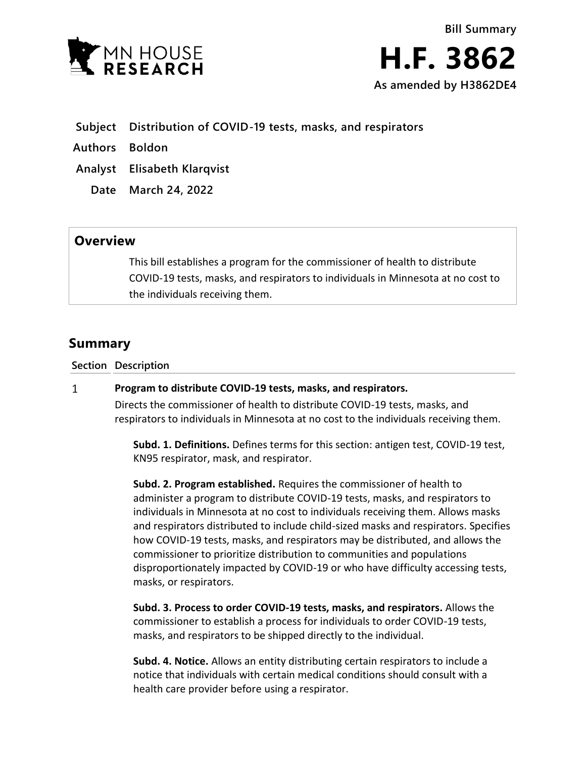

- **Subject Distribution of COVID-19 tests, masks, and respirators**
- **Authors Boldon**
- **Analyst Elisabeth Klarqvist**
	- **Date March 24, 2022**

## **Overview**

This bill establishes a program for the commissioner of health to distribute COVID-19 tests, masks, and respirators to individuals in Minnesota at no cost to the individuals receiving them.

## **Summary**

**Section Description**

## $\mathbf{1}$ **Program to distribute COVID-19 tests, masks, and respirators.**

Directs the commissioner of health to distribute COVID-19 tests, masks, and respirators to individuals in Minnesota at no cost to the individuals receiving them.

**Subd. 1. Definitions.** Defines terms for this section: antigen test, COVID-19 test, KN95 respirator, mask, and respirator.

**Subd. 2. Program established.** Requires the commissioner of health to administer a program to distribute COVID-19 tests, masks, and respirators to individuals in Minnesota at no cost to individuals receiving them. Allows masks and respirators distributed to include child-sized masks and respirators. Specifies how COVID-19 tests, masks, and respirators may be distributed, and allows the commissioner to prioritize distribution to communities and populations disproportionately impacted by COVID-19 or who have difficulty accessing tests, masks, or respirators.

**Subd. 3. Process to order COVID-19 tests, masks, and respirators.** Allows the commissioner to establish a process for individuals to order COVID-19 tests, masks, and respirators to be shipped directly to the individual.

**Subd. 4. Notice.** Allows an entity distributing certain respirators to include a notice that individuals with certain medical conditions should consult with a health care provider before using a respirator.